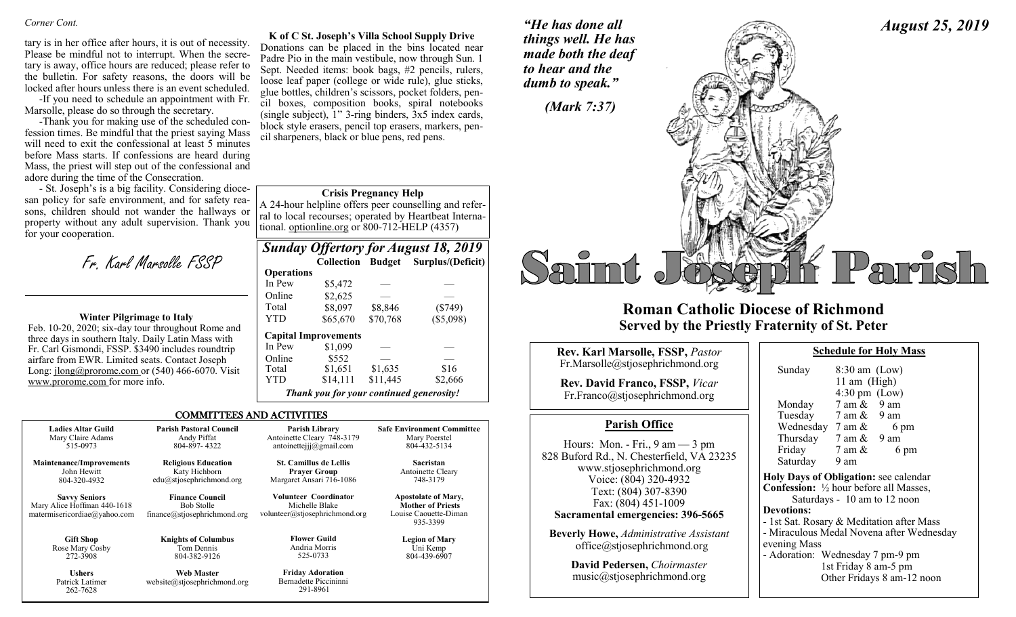#### *Corner Cont.*

tary is in her office after hours, it is out of necessity. Please be mindful not to interrupt. When the secretary is away, office hours are reduced; please refer to the bulletin. For safety reasons, the doors will be locked after hours unless there is an event scheduled.

-If you need to schedule an appointment with Fr. Marsolle, please do so through the secretary.

-Thank you for making use of the scheduled confession times. Be mindful that the priest saying Mass will need to exit the confessional at least 5 minutes before Mass starts. If confessions are heard during Mass, the priest will step out of the confessional and adore during the time of the Consecration.

- St. Joseph's is a big facility. Considering diocesan policy for safe environment, and for safety reasons, children should not wander the hallways or property without any adult supervision. Thank you for your cooperation.

Fr. Karl Marsolle FSSP

#### **Winter Pilgrimage to Italy**

Feb. 10-20, 2020; six-day tour throughout Rome and three days in southern Italy. Daily Latin Mass with Fr. Carl Gismondi, FSSP. \$3490 includes roundtrip airfare from EWR. Limited seats. Contact Joseph Long: jlong@prorome.com or (540) 466-6070. Visit www.prorome.com for more info.

262-7628

**K of C St. Joseph's Villa School Supply Drive** Donations can be placed in the bins located near Padre Pio in the main vestibule, now through Sun. 1 Sept. Needed items: book bags, #2 pencils, rulers, loose leaf paper (college or wide rule), glue sticks, glue bottles, children's scissors, pocket folders, pencil boxes, composition books, spiral notebooks (single subject),  $1$ " 3-ring binders,  $3x5$  index cards, block style erasers, pencil top erasers, markers, pencil sharpeners, black or blue pens, red pens.

#### **Crisis Pregnancy Help**

A 24-hour helpline offers peer counselling and referral to local recourses; operated by Heartbeat International. optionline.org or 800-712-HELP (4357)

|                   |                                          |          | <b>Sunday Offertory for August 18, 2019</b> |
|-------------------|------------------------------------------|----------|---------------------------------------------|
|                   | <b>Collection Budget</b>                 |          | Surplus/(Deficit)                           |
| <b>Operations</b> |                                          |          |                                             |
| In Pew            | \$5,472                                  |          |                                             |
| Online            | \$2,625                                  |          |                                             |
| Total             | \$8,097                                  | \$8,846  | $(\$749)$                                   |
| YTD               | \$65,670                                 | \$70,768 | (\$5,098)                                   |
|                   | <b>Capital Improvements</b>              |          |                                             |
| In Pew            | \$1,099                                  |          |                                             |
| Online            | \$552                                    |          |                                             |
| Total             | \$1,651                                  | \$1,635  | \$16                                        |
| YTD               | \$14,111                                 | \$11,445 | \$2,666                                     |
|                   | Thank you for your continued generosity! |          |                                             |

#### COMMITTEES AND ACTIVITIES

| <b>Ladies Altar Guild</b>                                                           | <b>Parish Pastoral Council</b>                                              | Parish Library                                                            | <b>Safe Environment Committee</b>                                                           |
|-------------------------------------------------------------------------------------|-----------------------------------------------------------------------------|---------------------------------------------------------------------------|---------------------------------------------------------------------------------------------|
| Mary Claire Adams                                                                   | Andy Piffat                                                                 | Antoinette Cleary 748-3179                                                | Mary Poerstel                                                                               |
| 515-0973                                                                            | 804-897-4322                                                                | antoinetteijj $@g$ mail.com                                               | 804-432-5134                                                                                |
| <b>Maintenance/Improvements</b>                                                     | <b>Religious Education</b>                                                  | <b>St. Camillus de Lellis</b>                                             | Sacristan                                                                                   |
| John Hewitt                                                                         | Katy Hichborn                                                               | <b>Prayer Group</b>                                                       | Antoinette Cleary                                                                           |
| 804-320-4932                                                                        | edu@stjosephrichmond.org                                                    | Margaret Ansari 716-1086                                                  | 748-3179                                                                                    |
| <b>Savvy Seniors</b><br>Mary Alice Hoffman 440-1618<br>matermisericordiae@yahoo.com | <b>Finance Council</b><br><b>Bob Stolle</b><br>finance@stjosephrichmond.org | Volunteer Coordinator<br>Michelle Blake<br>volunteer@stjosephrichmond.org | <b>Apostolate of Mary,</b><br><b>Mother of Priests</b><br>Louise Caouette-Diman<br>935-3399 |
| <b>Gift Shop</b>                                                                    | <b>Knights of Columbus</b>                                                  | <b>Flower Guild</b>                                                       | <b>Legion of Mary</b>                                                                       |
| Rose Mary Cosby                                                                     | Tom Dennis                                                                  | Andria Morris                                                             | Uni Kemp                                                                                    |
| 272-3908                                                                            | 804-382-9126                                                                | 525-0733                                                                  | 804-439-6907                                                                                |
| <b>Ushers</b>                                                                       | <b>Web Master</b>                                                           | <b>Friday Adoration</b>                                                   |                                                                                             |
| Patrick Latimer                                                                     | website@stiosephrichmond.org                                                | Bernadette Piccininni                                                     |                                                                                             |

291-8961

*"He has done all things well. He has made both the deaf to hear and the dumb to speak."*



### **Roman Catholic Diocese of Richmond Served by the Priestly Fraternity of St. Peter**

| Rev. Karl Marsolle, FSSP, Pastor<br>Fr.Marsolle@stjosephrichmond.org<br><b>Rev. David Franco, FSSP, Vicar</b><br>Fr.Franco@stjosephrichmond.org                                                                                                                                                                         | Sunda<br>Mond                                                                                                                        |
|-------------------------------------------------------------------------------------------------------------------------------------------------------------------------------------------------------------------------------------------------------------------------------------------------------------------------|--------------------------------------------------------------------------------------------------------------------------------------|
| <b>Parish Office</b>                                                                                                                                                                                                                                                                                                    | Tueso<br>Wedr                                                                                                                        |
| Hours: Mon. - Fri., $9 \text{ am} - 3 \text{ pm}$<br>828 Buford Rd., N. Chesterfield, VA 23235<br>www.stjosephrichmond.org<br>Voice: (804) 320-4932<br>Text: (804) 307-8390<br>Fax: (804) 451-1009<br>Sacramental emergencies: 396-5665<br><b>Beverly Howe, Administrative Assistant</b><br>office@stjosephrichmond.org | Thurs<br>Frida<br>Satur<br><b>Holy Day</b><br>Confessi<br>Sa<br><b>Devotion</b><br>- 1st Sat.<br>- Miracul<br>evening l<br>- Adorati |
| David Pedersen, Choirmaster<br>music@stjosephrichmond.org                                                                                                                                                                                                                                                               |                                                                                                                                      |

| <b>Schedule for Holy Mass</b> |            |  |
|-------------------------------|------------|--|
| <u>ດ າດ</u>                   | $\sqrt{ }$ |  |

*August 25, 2019*

| Sunday                               | $8:30$ am (Low)                 |      |  |
|--------------------------------------|---------------------------------|------|--|
|                                      | 11 am (High)                    |      |  |
|                                      | $4:30 \text{ pm}$ (Low)         |      |  |
| Monday                               | $7$ am $\&$ 9 am                |      |  |
| Tuesday                              | $7 \text{ am } \& 9 \text{ am}$ |      |  |
| Wednesday                            | 7 am &                          | 6 pm |  |
| Thursday                             | 7 am &                          | 9 am |  |
| Friday                               | 7 am &                          | 6 pm |  |
| Saturday                             | 9 am                            |      |  |
| aly Dave of Obligation, see calendar |                                 |      |  |

**Holy Days of Obligation:** see calendar **Con:** ½ hour before all Masses, aturdays - 10 am to 12 noon **Develope** Rosary & Meditation after Mass lous Medal Novena after Wednesdav Mass ion: Wednesday 7 pm-9 pm 1st Friday 8 am-5 pm

Other Fridays 8 am-12 noon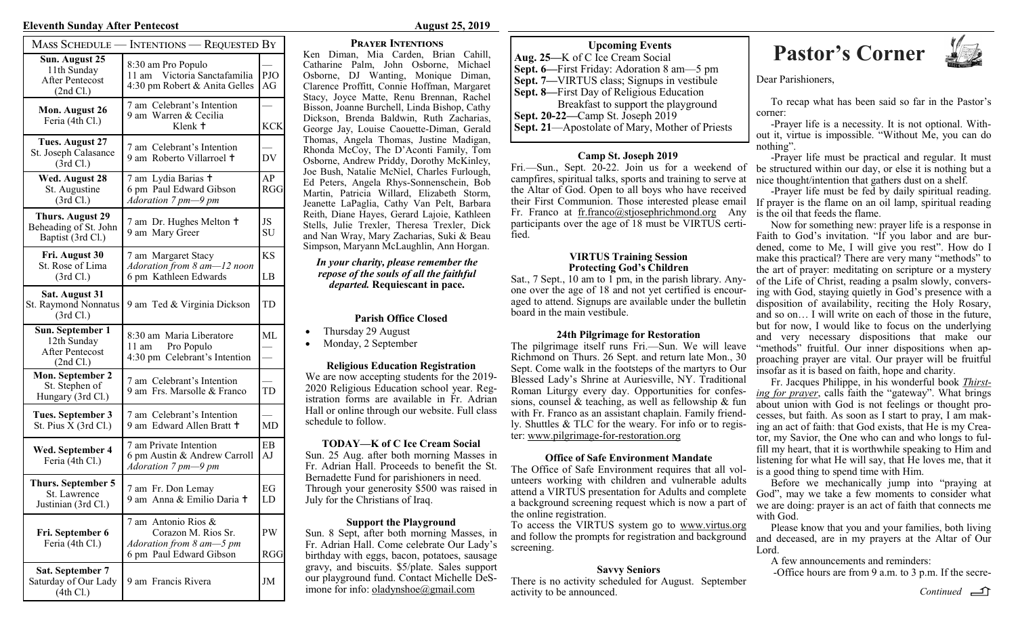#### **Eleventh Sunday After Pentecost August 25, 2019**

| MASS SCHEDULE -                                                        | <b>INTENTIONS — REQUESTED BY</b>                                                                  |                  |
|------------------------------------------------------------------------|---------------------------------------------------------------------------------------------------|------------------|
| Sun. August 25<br>11th Sunday<br><b>After Pentecost</b><br>(2nd Cl.)   | 8:30 am Pro Populo<br>11 am Victoria Sanctafamilia<br>4:30 pm Robert & Anita Gelles               | PJO<br>AG        |
| Mon. August 26<br>Feria (4th Cl.)                                      | 7 am Celebrant's Intention<br>9 am Warren & Cecilia<br>Klenk +                                    | <b>KCK</b>       |
| Tues. August 27<br>St. Joseph Calasance<br>(3rd Cl.)                   | 7 am Celebrant's Intention<br>9 am Roberto Villarroel +                                           | DV               |
| Wed. August 28<br>St. Augustine<br>(3rd Cl.)                           | 7 am Lydia Barias +<br>6 pm Paul Edward Gibson<br>Adoration 7 pm-9 pm                             | AP<br><b>RGG</b> |
| <b>Thurs. August 29</b><br>Beheading of St. John<br>Baptist (3rd Cl.)  | 7 am Dr. Hughes Melton +<br>9 am Mary Greer                                                       | JS<br><b>SU</b>  |
| Fri. August 30<br>St. Rose of Lima<br>(3rd Cl.)                        | 7 am Margaret Stacy<br>Adoration from 8 am-12 noon<br>6 pm Kathleen Edwards                       | <b>KS</b><br>LB  |
| Sat. August 31<br>St. Raymond Nonnatus<br>(3rd Cl.)                    | 9 am Ted & Virginia Dickson                                                                       | TD               |
| Sun. September 1<br>12th Sunday<br><b>After Pentecost</b><br>(2nd Cl.) | 8:30 am Maria Liberatore<br>11 am Pro Populo<br>4:30 pm Celebrant's Intention                     | ML               |
| Mon. September 2<br>St. Stephen of<br>Hungary (3rd Cl.)                | 7 am Celebrant's Intention<br>9 am Frs. Marsolle & Franco                                         | TD               |
| Tues. September 3<br>St. Pius X (3rd Cl.)                              | 7 am Celebrant's Intention<br>9 am Edward Allen Bratt +                                           | MD               |
| Wed. September 4<br>Feria (4th Cl.)                                    | 7 am Private Intention<br>6 pm Austin & Andrew Carroll<br>Adoration 7 pm-9 pm                     | EΒ<br>AJ         |
| Thurs. September 5<br>St. Lawrence<br>Justinian (3rd Cl.)              | 7 am Fr. Don Lemay<br>9 am Anna & Emilio Daria +                                                  | EG<br>LD         |
| Fri. September 6<br>Feria (4th Cl.)                                    | 7 am Antonio Rios &<br>Corazon M. Rios Sr.<br>Adoration from 8 am-5 pm<br>6 pm Paul Edward Gibson | PW<br>RGG        |
| <b>Sat. September 7</b><br>Saturday of Our Lady<br>(4th Cl.)           | 9 am Francis Rivera                                                                               | JM               |

#### **Prayer Intentions**

Ken Diman, Mia Carden, Brian Cahill, Catharine Palm, John Osborne, Michael Osborne, DJ Wanting, Monique Diman, Clarence Proffitt, Connie Hoffman, Margaret Stacy, Joyce Matte, Renu Brennan, Rachel Bisson, Joanne Burchell, Linda Bishop, Cathy Dickson, Brenda Baldwin, Ruth Zacharias, George Jay, Louise Caouette-Diman, Gerald Thomas, Angela Thomas, Justine Madigan, Rhonda McCoy, The D'Aconti Family, Tom Osborne, Andrew Priddy, Dorothy McKinley, Joe Bush, Natalie McNiel, Charles Furlough, Ed Peters, Angela Rhys-Sonnenschein, Bob Martin, Patricia Willard, Elizabeth Storm, Jeanette LaPaglia, Cathy Van Pelt, Barbara Reith, Diane Hayes, Gerard Lajoie, Kathleen Stells, Julie Trexler, Theresa Trexler, Dick and Nan Wray, Mary Zacharias, Suki & Beau Simpson, Maryann McLaughlin, Ann Horgan.

#### *In your charity, please remember the repose of the souls of all the faithful departed.* **Requiescant in pace.**

#### **Parish Office Closed**

- Thursday 29 August
- Monday, 2 September

#### **Religious Education Registration**

We are now accepting students for the 2019- 2020 Religious Education school year. Registration forms are available in Fr. Adrian Hall or online through our website. Full class schedule to follow.

#### **TODAY—K of C Ice Cream Social**

Sun. 25 Aug. after both morning Masses in Fr. Adrian Hall. Proceeds to benefit the St. Bernadette Fund for parishioners in need. Through your generosity \$500 was raised in July for the Christians of Iraq.

#### **Support the Playground**

Sun. 8 Sept, after both morning Masses, in Fr. Adrian Hall. Come celebrate Our Lady's birthday with eggs, bacon, potatoes, sausage gravy, and biscuits. \$5/plate. Sales support our playground fund. Contact Michelle DeS-

**Aug. 25—**K of C Ice Cream Social **Sept. 6—**First Friday: Adoration 8 am—5 pm **Sept. 7—**VIRTUS class; Signups in vestibule **Sept. 8—**First Day of Religious Education Breakfast to support the playground **Sept. 20-22—**Camp St. Joseph 2019 **Sept. 21**—Apostolate of Mary, Mother of Priests

#### **Camp St. Joseph 2019**

Fri.—Sun., Sept. 20-22. Join us for a weekend of campfires, spiritual talks, sports and training to serve at the Altar of God. Open to all boys who have received their First Communion. Those interested please email Fr. Franco at fr.franco@stjosephrichmond.org Any participants over the age of 18 must be VIRTUS certified.

#### **VIRTUS Training Session Protecting God's Children**

Sat., 7 Sept., 10 am to 1 pm, in the parish library. Anyone over the age of 18 and not yet certified is encouraged to attend. Signups are available under the bulletin board in the main vestibule.

#### **24th Pilgrimage for Restoration**

The pilgrimage itself runs Fri.—Sun. We will leave Richmond on Thurs. 26 Sept. and return late Mon., 30 Sept. Come walk in the footsteps of the martyrs to Our Blessed Lady's Shrine at Auriesville, NY. Traditional Roman Liturgy every day. Opportunities for confessions, counsel & teaching, as well as fellowship  $\&$  fun with Fr. Franco as an assistant chaplain. Family friendly. Shuttles & TLC for the weary. For info or to register: www.pilgrimage-for-restoration.org

#### **Office of Safe Environment Mandate**

The Office of Safe Environment requires that all volunteers working with children and vulnerable adults attend a VIRTUS presentation for Adults and complete a background screening request which is now a part of the online registration.

To access the VIRTUS system go to www.virtus.org and follow the prompts for registration and background screening.

#### **Savvy Seniors**

There is no activity scheduled for August. September activity to be announced. imone for info: <u>oladynshoe@gmail.com</u> activity to be announced. Continued continued and continued and continued

# **Pastor's Corner**<br>C Ice Cream Social **Pastor's Corner**



Dear Parishioners,

To recap what has been said so far in the Pastor's corner:

-Prayer life is a necessity. It is not optional. Without it, virtue is impossible. "Without Me, you can do nothing".

-Prayer life must be practical and regular. It must be structured within our day, or else it is nothing but a nice thought/intention that gathers dust on a shelf.

-Prayer life must be fed by daily spiritual reading. If prayer is the flame on an oil lamp, spiritual reading is the oil that feeds the flame.

Now for something new: prayer life is a response in Faith to God's invitation. "If you labor and are burdened, come to Me, I will give you rest". How do I make this practical? There are very many "methods" to the art of prayer: meditating on scripture or a mystery of the Life of Christ, reading a psalm slowly, conversing with God, staying quietly in God's presence with a disposition of availability, reciting the Holy Rosary, and so on… I will write on each of those in the future, but for now, I would like to focus on the underlying and very necessary dispositions that make our "methods" fruitful. Our inner dispositions when approaching prayer are vital. Our prayer will be fruitful insofar as it is based on faith, hope and charity.

Fr. Jacques Philippe, in his wonderful book *Thirsting for prayer*, calls faith the "gateway". What brings about union with God is not feelings or thought processes, but faith. As soon as I start to pray, I am making an act of faith: that God exists, that He is my Creator, my Savior, the One who can and who longs to fulfill my heart, that it is worthwhile speaking to Him and listening for what He will say, that He loves me, that it is a good thing to spend time with Him.

Before we mechanically jump into "praying at God", may we take a few moments to consider what we are doing: prayer is an act of faith that connects me with God.

Please know that you and your families, both living and deceased, are in my prayers at the Altar of Our Lord.

A few announcements and reminders:

-Office hours are from 9 a.m. to 3 p.m. If the secre-